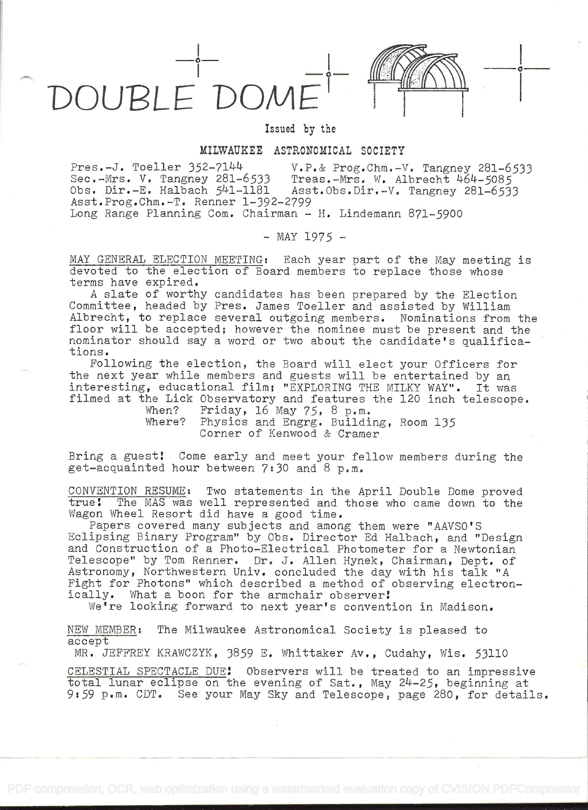

Issued by the

## MILWAUKEE ASTRONOMICAL SOCIETY

Pres.-J. Toeller 352-7144 V.P.& Prog.Chm.-V. Tangney 281-6533<br>Sec.-Mrs. V. Tangney 281-6533 Treas.-Mrs. W. Albrecht 464-5085 Sec.-Mrs. V. Tangney 281-6533 Treas.-Mrs. W. Albrecht 464-5085 Obs. Dir.-E. Halbach 541-1181 Asst.Obs.Dir.-V. Tangney 281-6533 Asst.Prog.Chm.-T. Renner 1-392-2799 Long Range Planning Com. Chairman  $-$  H. Lindemann 871-5900

 $-$  MAY 1975  $-$ 

MAY GENERAL ELECTION MEETING: Each year part of the May meeting is devoted to the election of Board members to replace those whose terms have expired.

A slate of worthy candidates has been prepared by the Election Committee, headed by Pres. James Toeller and assisted by William Albrecht, to replace several outgoing members. Nominations from the floor will be accepted; however the nominee must be present and the nominator should say a word or two about the candidate's qualifications.

Following the election, the Board will elect your Officers for the next year while members and guests will be entertained by an interesting, educational film; "EXPLORING THE MILKY WAY". It was filmed at the Lick Observatory and features the 120 inch telescope.<br>When? Friday, 16 May 75, 8 p.m.

Friday, 16 May  $75$ , 8 p.m. Where? Physics and Engrg. Building, Room 135 Corner of Kenwood & Cramer

Bring a guest! Come early and meet your fellow members during the get-acquainted hour between 7:30 and 8 p.m.

CONVENTION RESUME: Two statements in the April Double Dome proved The MAS was well represented and those who came down to the Wagon Wheel Resort did have a good time.

Papers covered many subjects and among them were "AAVSO'S Eclipsing Binary Program" by Obs. Director Ed Halbach, and "Design and Construction of a Photo-Electrical Photometer for a Newtonian Telescope" by Tom Renner. Dr. J. Allen Hynek, Chairman, Dept. of Astronomy, Northwestern Univ. concluded the day with his talk "A Fight for Photons" which described a method of observing electronically. What a boon for the armchair observer!

We're looking forward to next year's convention in Madison.

NEW MEMBER: The Milwaukee Astronomical Society is pleased to accept

MR. JEFFREY KRAWCZYK, 3859 E. Whittaker Av., Cudahy, Wis. 53110

CELESTIAL SPECTACLE DUE! Observers will be treated to an impressive total lunar eclipse on the evening of Sat., May 24-25, beginning at 9:59 p.m. CDT. See your May Sky and Telescope, page 280, for details.